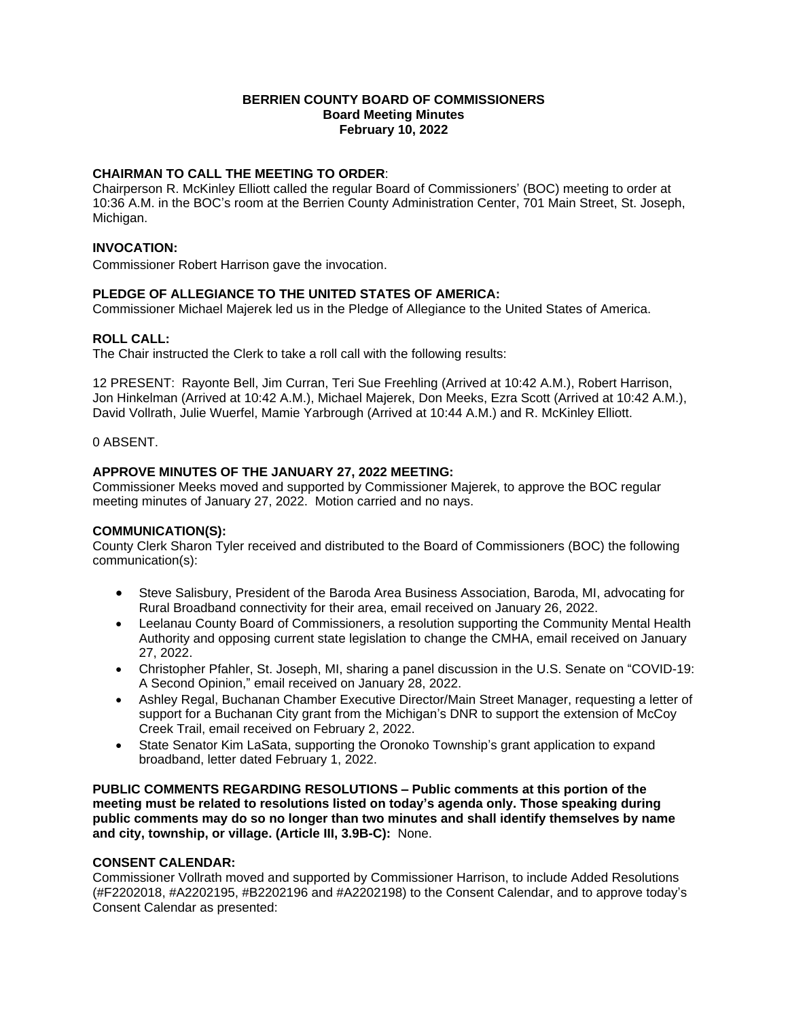# **BERRIEN COUNTY BOARD OF COMMISSIONERS Board Meeting Minutes February 10, 2022**

# **CHAIRMAN TO CALL THE MEETING TO ORDER**:

Chairperson R. McKinley Elliott called the regular Board of Commissioners' (BOC) meeting to order at 10:36 A.M. in the BOC's room at the Berrien County Administration Center, 701 Main Street, St. Joseph, Michigan.

#### **INVOCATION:**

Commissioner Robert Harrison gave the invocation.

# **PLEDGE OF ALLEGIANCE TO THE UNITED STATES OF AMERICA:**

Commissioner Michael Majerek led us in the Pledge of Allegiance to the United States of America.

#### **ROLL CALL:**

The Chair instructed the Clerk to take a roll call with the following results:

12 PRESENT: Rayonte Bell, Jim Curran, Teri Sue Freehling (Arrived at 10:42 A.M.), Robert Harrison, Jon Hinkelman (Arrived at 10:42 A.M.), Michael Majerek, Don Meeks, Ezra Scott (Arrived at 10:42 A.M.), David Vollrath, Julie Wuerfel, Mamie Yarbrough (Arrived at 10:44 A.M.) and R. McKinley Elliott.

0 ABSENT.

# **APPROVE MINUTES OF THE JANUARY 27, 2022 MEETING:**

Commissioner Meeks moved and supported by Commissioner Majerek, to approve the BOC regular meeting minutes of January 27, 2022. Motion carried and no nays.

# **COMMUNICATION(S):**

County Clerk Sharon Tyler received and distributed to the Board of Commissioners (BOC) the following communication(s):

- Steve Salisbury, President of the Baroda Area Business Association, Baroda, MI, advocating for Rural Broadband connectivity for their area, email received on January 26, 2022.
- Leelanau County Board of Commissioners, a resolution supporting the Community Mental Health Authority and opposing current state legislation to change the CMHA, email received on January 27, 2022.
- Christopher Pfahler, St. Joseph, MI, sharing a panel discussion in the U.S. Senate on "COVID-19: A Second Opinion," email received on January 28, 2022.
- Ashley Regal, Buchanan Chamber Executive Director/Main Street Manager, requesting a letter of support for a Buchanan City grant from the Michigan's DNR to support the extension of McCoy Creek Trail, email received on February 2, 2022.
- State Senator Kim LaSata, supporting the Oronoko Township's grant application to expand broadband, letter dated February 1, 2022.

**PUBLIC COMMENTS REGARDING RESOLUTIONS – Public comments at this portion of the meeting must be related to resolutions listed on today's agenda only. Those speaking during public comments may do so no longer than two minutes and shall identify themselves by name and city, township, or village. (Article III, 3.9B-C):** None.

# **CONSENT CALENDAR:**

Commissioner Vollrath moved and supported by Commissioner Harrison, to include Added Resolutions (#F2202018, #A2202195, #B2202196 and #A2202198) to the Consent Calendar, and to approve today's Consent Calendar as presented: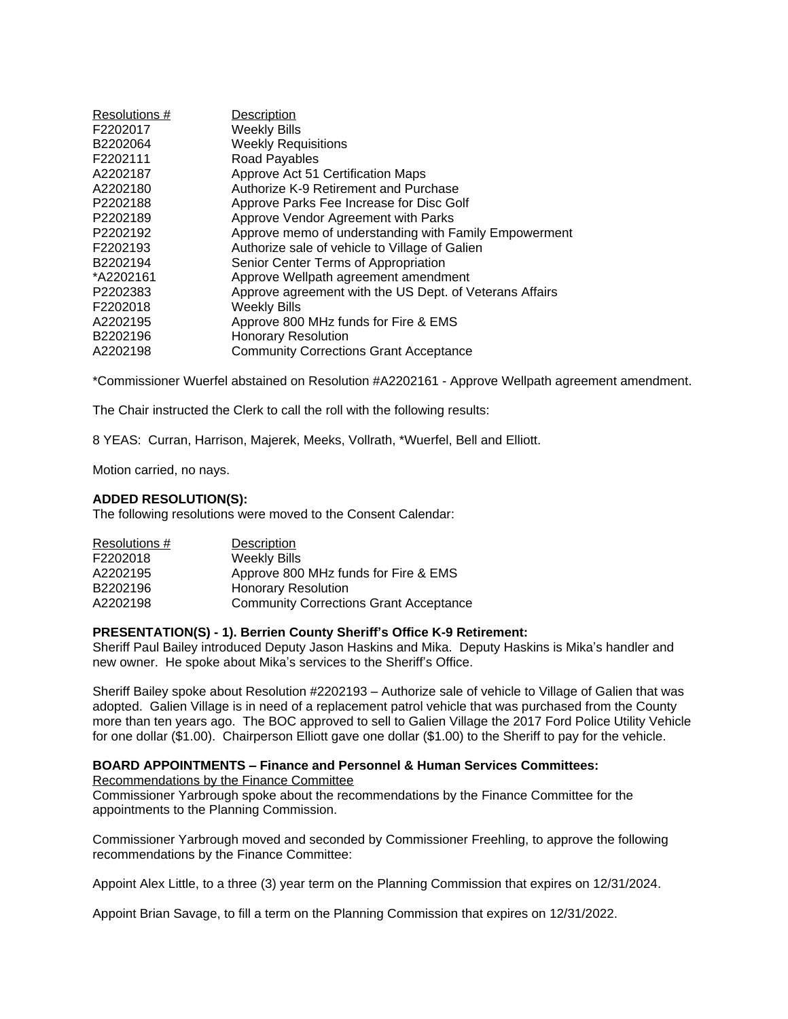| Resolutions # | <b>Description</b>                                      |
|---------------|---------------------------------------------------------|
| F2202017      | <b>Weekly Bills</b>                                     |
| B2202064      | <b>Weekly Requisitions</b>                              |
| F2202111      | Road Payables                                           |
| A2202187      | Approve Act 51 Certification Maps                       |
| A2202180      | Authorize K-9 Retirement and Purchase                   |
| P2202188      | Approve Parks Fee Increase for Disc Golf                |
| P2202189      | Approve Vendor Agreement with Parks                     |
| P2202192      | Approve memo of understanding with Family Empowerment   |
| F2202193      | Authorize sale of vehicle to Village of Galien          |
| B2202194      | Senior Center Terms of Appropriation                    |
| *A2202161     | Approve Wellpath agreement amendment                    |
| P2202383      | Approve agreement with the US Dept. of Veterans Affairs |
| F2202018      | <b>Weekly Bills</b>                                     |
| A2202195      | Approve 800 MHz funds for Fire & EMS                    |
| B2202196      | <b>Honorary Resolution</b>                              |
| A2202198      | <b>Community Corrections Grant Acceptance</b>           |

\*Commissioner Wuerfel abstained on Resolution #A2202161 - Approve Wellpath agreement amendment.

The Chair instructed the Clerk to call the roll with the following results:

8 YEAS: Curran, Harrison, Majerek, Meeks, Vollrath, \*Wuerfel, Bell and Elliott.

Motion carried, no nays.

#### **ADDED RESOLUTION(S):**

The following resolutions were moved to the Consent Calendar:

| Resolutions # | Description                                   |
|---------------|-----------------------------------------------|
| F2202018      | <b>Weekly Bills</b>                           |
| A2202195      | Approve 800 MHz funds for Fire & EMS          |
| B2202196      | <b>Honorary Resolution</b>                    |
| A2202198      | <b>Community Corrections Grant Acceptance</b> |

#### **PRESENTATION(S) - 1). Berrien County Sheriff's Office K-9 Retirement:**

Sheriff Paul Bailey introduced Deputy Jason Haskins and Mika. Deputy Haskins is Mika's handler and new owner. He spoke about Mika's services to the Sheriff's Office.

Sheriff Bailey spoke about Resolution #2202193 – Authorize sale of vehicle to Village of Galien that was adopted. Galien Village is in need of a replacement patrol vehicle that was purchased from the County more than ten years ago. The BOC approved to sell to Galien Village the 2017 Ford Police Utility Vehicle for one dollar (\$1.00). Chairperson Elliott gave one dollar (\$1.00) to the Sheriff to pay for the vehicle.

#### **BOARD APPOINTMENTS – Finance and Personnel & Human Services Committees:** Recommendations by the Finance Committee

Commissioner Yarbrough spoke about the recommendations by the Finance Committee for the appointments to the Planning Commission.

Commissioner Yarbrough moved and seconded by Commissioner Freehling, to approve the following recommendations by the Finance Committee:

Appoint Alex Little, to a three (3) year term on the Planning Commission that expires on 12/31/2024.

Appoint Brian Savage, to fill a term on the Planning Commission that expires on 12/31/2022.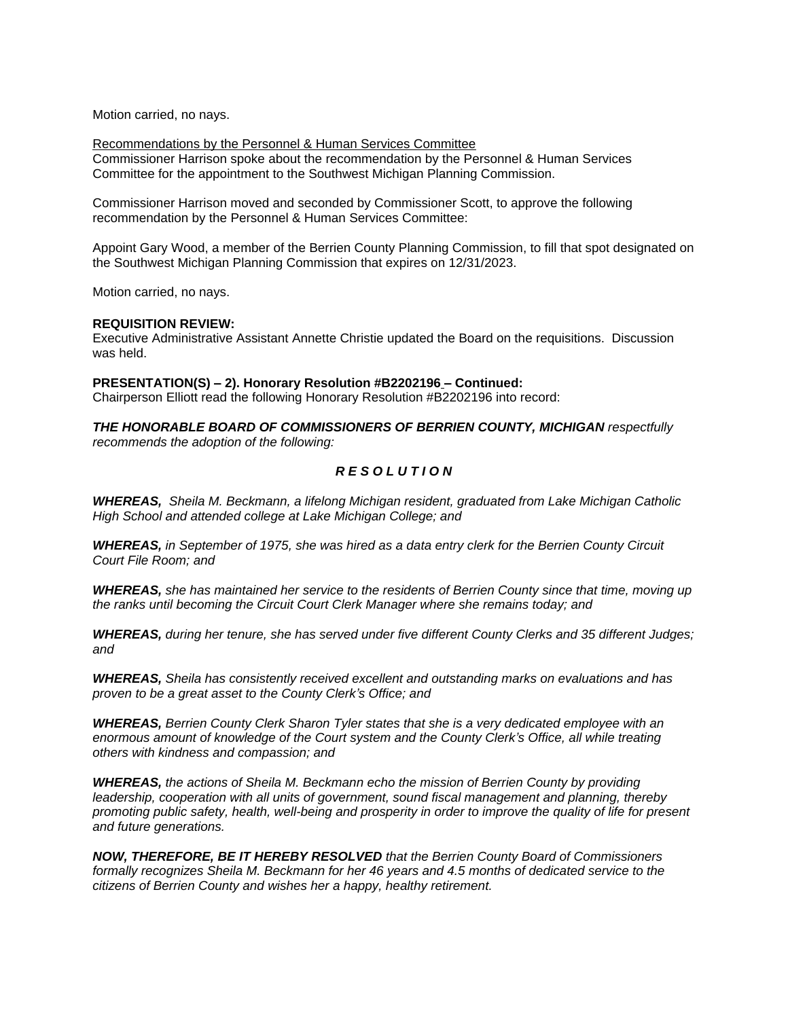Motion carried, no nays.

Recommendations by the Personnel & Human Services Committee Commissioner Harrison spoke about the recommendation by the Personnel & Human Services Committee for the appointment to the Southwest Michigan Planning Commission.

Commissioner Harrison moved and seconded by Commissioner Scott, to approve the following recommendation by the Personnel & Human Services Committee:

Appoint Gary Wood, a member of the Berrien County Planning Commission, to fill that spot designated on the Southwest Michigan Planning Commission that expires on 12/31/2023.

Motion carried, no nays.

#### **REQUISITION REVIEW:**

Executive Administrative Assistant Annette Christie updated the Board on the requisitions. Discussion was held.

**PRESENTATION(S) – 2). Honorary Resolution #B2202196 – Continued:**

Chairperson Elliott read the following Honorary Resolution #B2202196 into record:

*THE HONORABLE BOARD OF COMMISSIONERS OF BERRIEN COUNTY, MICHIGAN respectfully recommends the adoption of the following:*

# *R E S O L U T I O N*

*WHEREAS, Sheila M. Beckmann, a lifelong Michigan resident, graduated from Lake Michigan Catholic High School and attended college at Lake Michigan College; and* 

*WHEREAS, in September of 1975, she was hired as a data entry clerk for the Berrien County Circuit Court File Room; and* 

*WHEREAS, she has maintained her service to the residents of Berrien County since that time, moving up the ranks until becoming the Circuit Court Clerk Manager where she remains today; and* 

*WHEREAS, during her tenure, she has served under five different County Clerks and 35 different Judges; and*

*WHEREAS, Sheila has consistently received excellent and outstanding marks on evaluations and has proven to be a great asset to the County Clerk's Office; and* 

*WHEREAS, Berrien County Clerk Sharon Tyler states that she is a very dedicated employee with an enormous amount of knowledge of the Court system and the County Clerk's Office, all while treating others with kindness and compassion; and* 

*WHEREAS, the actions of Sheila M. Beckmann echo the mission of Berrien County by providing leadership, cooperation with all units of government, sound fiscal management and planning, thereby promoting public safety, health, well-being and prosperity in order to improve the quality of life for present and future generations.* 

*NOW, THEREFORE, BE IT HEREBY RESOLVED that the Berrien County Board of Commissioners formally recognizes Sheila M. Beckmann for her 46 years and 4.5 months of dedicated service to the citizens of Berrien County and wishes her a happy, healthy retirement.*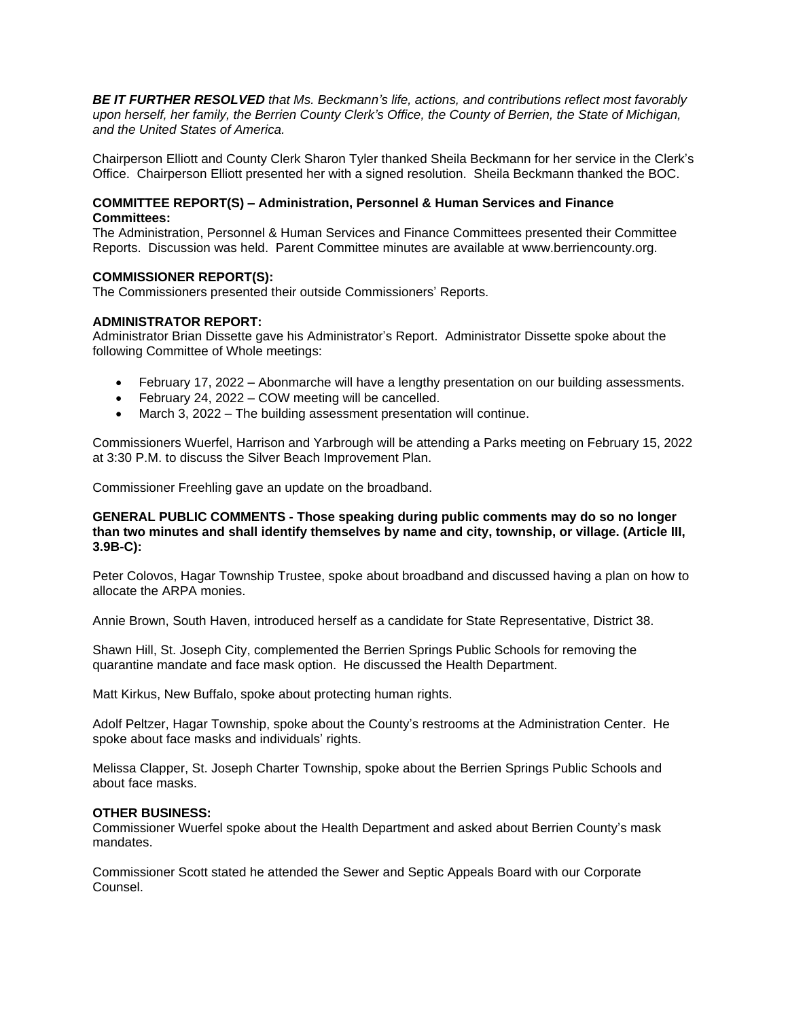*BE IT FURTHER RESOLVED that Ms. Beckmann's life, actions, and contributions reflect most favorably upon herself, her family, the Berrien County Clerk's Office, the County of Berrien, the State of Michigan, and the United States of America.* 

Chairperson Elliott and County Clerk Sharon Tyler thanked Sheila Beckmann for her service in the Clerk's Office. Chairperson Elliott presented her with a signed resolution. Sheila Beckmann thanked the BOC.

# **COMMITTEE REPORT(S) – Administration, Personnel & Human Services and Finance Committees:**

The Administration, Personnel & Human Services and Finance Committees presented their Committee Reports. Discussion was held. Parent Committee minutes are available at www.berriencounty.org.

# **COMMISSIONER REPORT(S):**

The Commissioners presented their outside Commissioners' Reports.

# **ADMINISTRATOR REPORT:**

Administrator Brian Dissette gave his Administrator's Report. Administrator Dissette spoke about the following Committee of Whole meetings:

- February 17, 2022 Abonmarche will have a lengthy presentation on our building assessments.
- February 24, 2022 COW meeting will be cancelled.
- March 3, 2022 The building assessment presentation will continue.

Commissioners Wuerfel, Harrison and Yarbrough will be attending a Parks meeting on February 15, 2022 at 3:30 P.M. to discuss the Silver Beach Improvement Plan.

Commissioner Freehling gave an update on the broadband.

#### **GENERAL PUBLIC COMMENTS - Those speaking during public comments may do so no longer than two minutes and shall identify themselves by name and city, township, or village. (Article III, 3.9B-C):**

Peter Colovos, Hagar Township Trustee, spoke about broadband and discussed having a plan on how to allocate the ARPA monies.

Annie Brown, South Haven, introduced herself as a candidate for State Representative, District 38.

Shawn Hill, St. Joseph City, complemented the Berrien Springs Public Schools for removing the quarantine mandate and face mask option. He discussed the Health Department.

Matt Kirkus, New Buffalo, spoke about protecting human rights.

Adolf Peltzer, Hagar Township, spoke about the County's restrooms at the Administration Center. He spoke about face masks and individuals' rights.

Melissa Clapper, St. Joseph Charter Township, spoke about the Berrien Springs Public Schools and about face masks.

# **OTHER BUSINESS:**

Commissioner Wuerfel spoke about the Health Department and asked about Berrien County's mask mandates.

Commissioner Scott stated he attended the Sewer and Septic Appeals Board with our Corporate Counsel.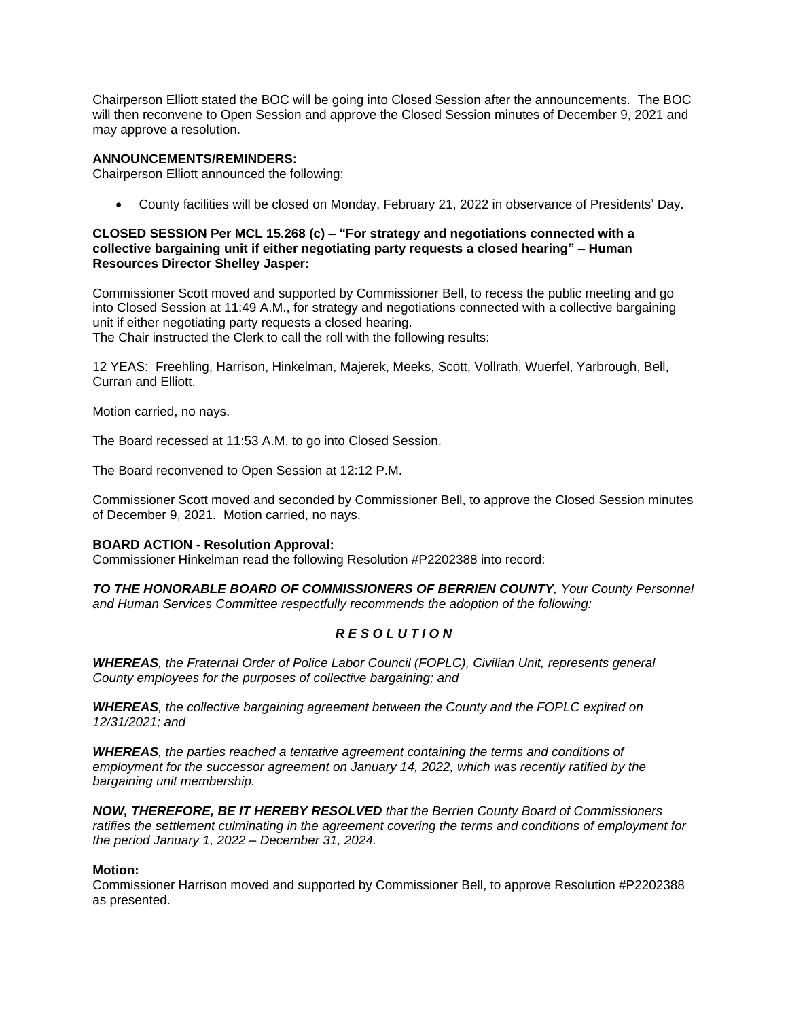Chairperson Elliott stated the BOC will be going into Closed Session after the announcements. The BOC will then reconvene to Open Session and approve the Closed Session minutes of December 9, 2021 and may approve a resolution.

# **ANNOUNCEMENTS/REMINDERS:**

Chairperson Elliott announced the following:

County facilities will be closed on Monday, February 21, 2022 in observance of Presidents' Day.

# **CLOSED SESSION Per MCL 15.268 (c) – "For strategy and negotiations connected with a collective bargaining unit if either negotiating party requests a closed hearing" – Human Resources Director Shelley Jasper:**

Commissioner Scott moved and supported by Commissioner Bell, to recess the public meeting and go into Closed Session at 11:49 A.M., for strategy and negotiations connected with a collective bargaining unit if either negotiating party requests a closed hearing. The Chair instructed the Clerk to call the roll with the following results:

12 YEAS: Freehling, Harrison, Hinkelman, Majerek, Meeks, Scott, Vollrath, Wuerfel, Yarbrough, Bell, Curran and Elliott.

Motion carried, no nays.

The Board recessed at 11:53 A.M. to go into Closed Session.

The Board reconvened to Open Session at 12:12 P.M.

Commissioner Scott moved and seconded by Commissioner Bell, to approve the Closed Session minutes of December 9, 2021. Motion carried, no nays.

# **BOARD ACTION - Resolution Approval:**

Commissioner Hinkelman read the following Resolution #P2202388 into record:

*TO THE HONORABLE BOARD OF COMMISSIONERS OF BERRIEN COUNTY, Your County Personnel and Human Services Committee respectfully recommends the adoption of the following:*

# *R E S O L U T I O N*

*WHEREAS, the Fraternal Order of Police Labor Council (FOPLC), Civilian Unit, represents general County employees for the purposes of collective bargaining; and*

*WHEREAS, the collective bargaining agreement between the County and the FOPLC expired on 12/31/2021; and*

*WHEREAS, the parties reached a tentative agreement containing the terms and conditions of employment for the successor agreement on January 14, 2022, which was recently ratified by the bargaining unit membership.*

*NOW, THEREFORE, BE IT HEREBY RESOLVED that the Berrien County Board of Commissioners ratifies the settlement culminating in the agreement covering the terms and conditions of employment for the period January 1, 2022 – December 31, 2024.*

# **Motion:**

Commissioner Harrison moved and supported by Commissioner Bell, to approve Resolution #P2202388 as presented.